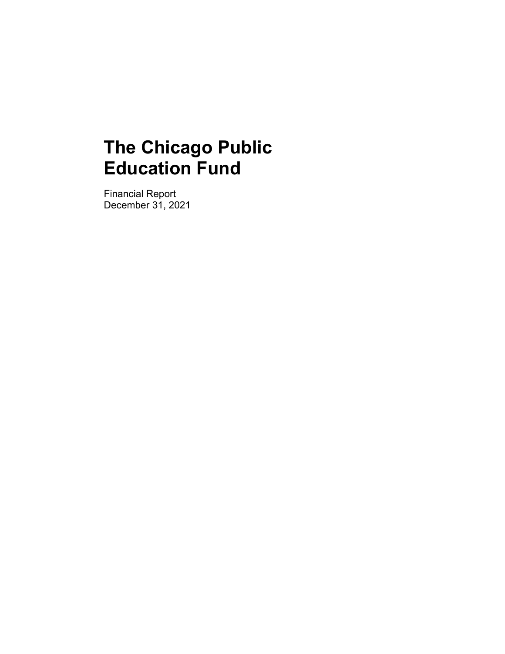Financial Report December 31, 2021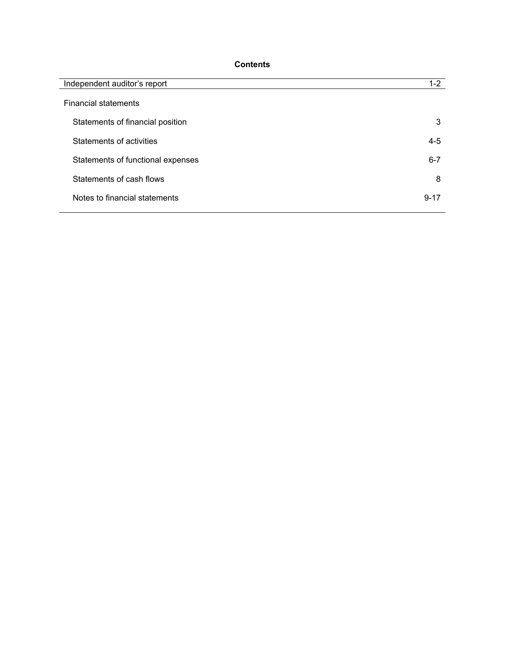# **Contents**

| Independent auditor's report      | $1 - 2$  |
|-----------------------------------|----------|
| <b>Financial statements</b>       |          |
| Statements of financial position  | 3        |
| Statements of activities          | 4-5      |
| Statements of functional expenses | $6 - 7$  |
| Statements of cash flows          | 8        |
| Notes to financial statements     | $9 - 17$ |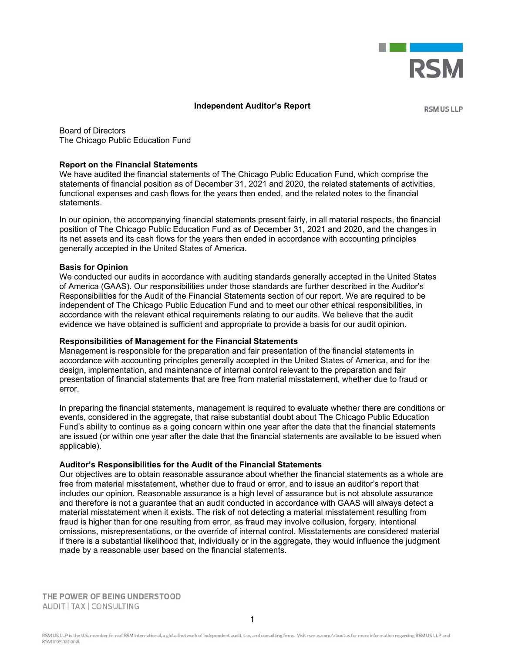

#### **Independent Auditor's Report**

**RSM US LLP** 

Board of Directors The Chicago Public Education Fund

#### **Report on the Financial Statements**

We have audited the financial statements of The Chicago Public Education Fund, which comprise the statements of financial position as of December 31, 2021 and 2020, the related statements of activities, functional expenses and cash flows for the years then ended, and the related notes to the financial statements.

In our opinion, the accompanying financial statements present fairly, in all material respects, the financial position of The Chicago Public Education Fund as of December 31, 2021 and 2020, and the changes in its net assets and its cash flows for the years then ended in accordance with accounting principles generally accepted in the United States of America.

#### **Basis for Opinion**

We conducted our audits in accordance with auditing standards generally accepted in the United States of America (GAAS). Our responsibilities under those standards are further described in the Auditor's Responsibilities for the Audit of the Financial Statements section of our report. We are required to be independent of The Chicago Public Education Fund and to meet our other ethical responsibilities, in accordance with the relevant ethical requirements relating to our audits. We believe that the audit evidence we have obtained is sufficient and appropriate to provide a basis for our audit opinion.

#### **Responsibilities of Management for the Financial Statements**

Management is responsible for the preparation and fair presentation of the financial statements in accordance with accounting principles generally accepted in the United States of America, and for the design, implementation, and maintenance of internal control relevant to the preparation and fair presentation of financial statements that are free from material misstatement, whether due to fraud or error.

In preparing the financial statements, management is required to evaluate whether there are conditions or events, considered in the aggregate, that raise substantial doubt about The Chicago Public Education Fund's ability to continue as a going concern within one year after the date that the financial statements are issued (or within one year after the date that the financial statements are available to be issued when applicable).

#### **Auditor's Responsibilities for the Audit of the Financial Statements**

Our objectives are to obtain reasonable assurance about whether the financial statements as a whole are free from material misstatement, whether due to fraud or error, and to issue an auditor's report that includes our opinion. Reasonable assurance is a high level of assurance but is not absolute assurance and therefore is not a guarantee that an audit conducted in accordance with GAAS will always detect a material misstatement when it exists. The risk of not detecting a material misstatement resulting from fraud is higher than for one resulting from error, as fraud may involve collusion, forgery, intentional omissions, misrepresentations, or the override of internal control. Misstatements are considered material if there is a substantial likelihood that, individually or in the aggregate, they would influence the judgment made by a reasonable user based on the financial statements.

THE POWER OF BEING UNDERSTOOD AUDIT | TAX | CONSULTING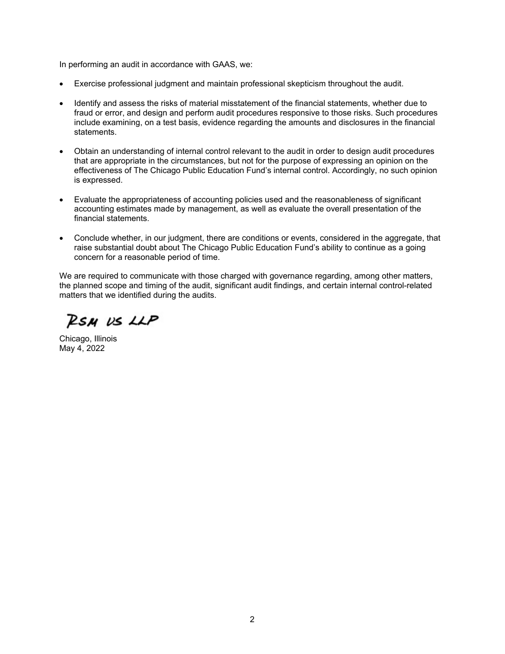In performing an audit in accordance with GAAS, we:

- Exercise professional judgment and maintain professional skepticism throughout the audit.
- Identify and assess the risks of material misstatement of the financial statements, whether due to fraud or error, and design and perform audit procedures responsive to those risks. Such procedures include examining, on a test basis, evidence regarding the amounts and disclosures in the financial statements.
- Obtain an understanding of internal control relevant to the audit in order to design audit procedures that are appropriate in the circumstances, but not for the purpose of expressing an opinion on the effectiveness of The Chicago Public Education Fund's internal control. Accordingly, no such opinion is expressed.
- Evaluate the appropriateness of accounting policies used and the reasonableness of significant accounting estimates made by management, as well as evaluate the overall presentation of the financial statements.
- Conclude whether, in our judgment, there are conditions or events, considered in the aggregate, that raise substantial doubt about The Chicago Public Education Fund's ability to continue as a going concern for a reasonable period of time.

We are required to communicate with those charged with governance regarding, among other matters, the planned scope and timing of the audit, significant audit findings, and certain internal control-related matters that we identified during the audits.

RSM US LLP

Chicago, Illinois May 4, 2022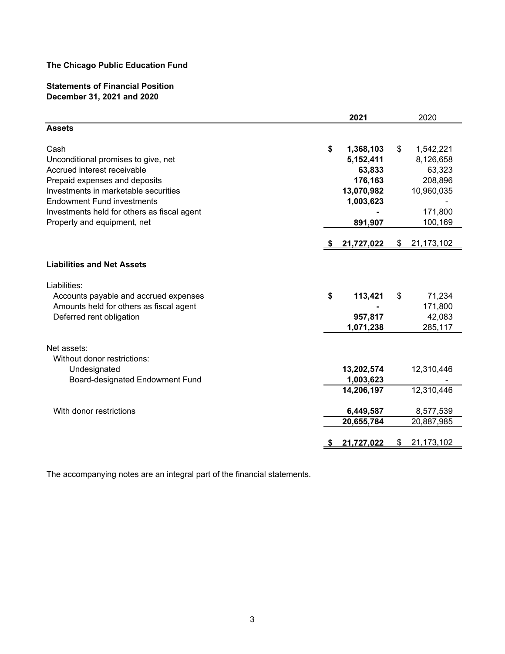# **Statements of Financial Position December 31, 2021 and 2020**

|                                             | 2021             |    | 2020         |
|---------------------------------------------|------------------|----|--------------|
| <b>Assets</b>                               |                  |    |              |
| Cash                                        | \$<br>1,368,103  | \$ | 1,542,221    |
| Unconditional promises to give, net         | 5,152,411        |    | 8,126,658    |
| Accrued interest receivable                 | 63,833           |    | 63,323       |
| Prepaid expenses and deposits               | 176,163          |    | 208,896      |
| Investments in marketable securities        | 13,070,982       |    | 10,960,035   |
| <b>Endowment Fund investments</b>           | 1,003,623        |    |              |
| Investments held for others as fiscal agent |                  |    | 171,800      |
| Property and equipment, net                 | 891,907          |    | 100,169      |
|                                             | 21,727,022       | S. | 21, 173, 102 |
| <b>Liabilities and Net Assets</b>           |                  |    |              |
| Liabilities:                                |                  |    |              |
| Accounts payable and accrued expenses       | \$<br>113,421    | \$ | 71,234       |
| Amounts held for others as fiscal agent     |                  |    | 171,800      |
| Deferred rent obligation                    | 957,817          |    | 42,083       |
|                                             | 1,071,238        |    | 285,117      |
| Net assets:<br>Without donor restrictions:  |                  |    |              |
| Undesignated                                | 13,202,574       |    | 12,310,446   |
| Board-designated Endowment Fund             | 1,003,623        |    |              |
|                                             | 14,206,197       |    | 12,310,446   |
| With donor restrictions                     | 6,449,587        |    | 8,577,539    |
|                                             | 20,655,784       |    | 20,887,985   |
|                                             |                  |    |              |
|                                             | \$<br>21,727,022 | \$ | 21,173,102   |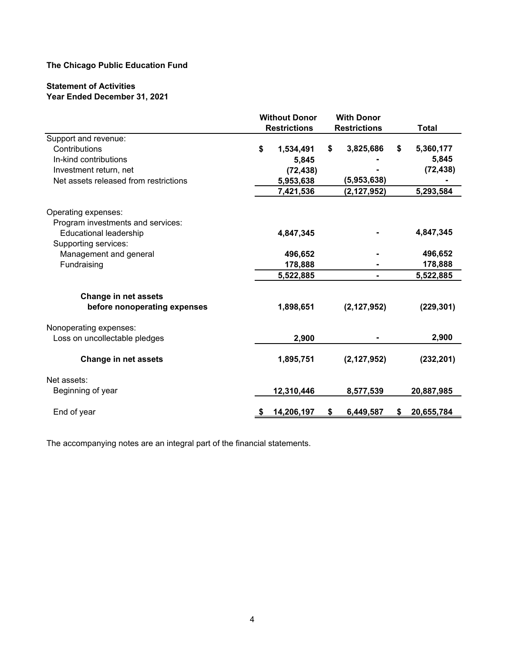# **Statement of Activities Year Ended December 31, 2021**

|                                       | <b>Without Donor</b><br><b>Restrictions</b> |            | <b>With Donor</b><br><b>Restrictions</b> |               | <b>Total</b>     |
|---------------------------------------|---------------------------------------------|------------|------------------------------------------|---------------|------------------|
| Support and revenue:                  |                                             |            |                                          |               |                  |
| Contributions                         | \$                                          | 1,534,491  | \$                                       | 3,825,686     | \$<br>5,360,177  |
| In-kind contributions                 |                                             | 5,845      |                                          |               | 5,845            |
| Investment return, net                |                                             | (72, 438)  |                                          |               | (72, 438)        |
| Net assets released from restrictions |                                             | 5,953,638  |                                          | (5,953,638)   |                  |
|                                       |                                             | 7,421,536  |                                          | (2, 127, 952) | 5,293,584        |
| Operating expenses:                   |                                             |            |                                          |               |                  |
| Program investments and services:     |                                             |            |                                          |               |                  |
| <b>Educational leadership</b>         |                                             | 4,847,345  |                                          |               | 4,847,345        |
| Supporting services:                  |                                             |            |                                          |               |                  |
| Management and general                |                                             | 496,652    |                                          |               | 496,652          |
| Fundraising                           |                                             | 178,888    |                                          |               | 178,888          |
|                                       |                                             | 5,522,885  |                                          |               | 5,522,885        |
| <b>Change in net assets</b>           |                                             |            |                                          |               |                  |
| before nonoperating expenses          |                                             | 1,898,651  |                                          | (2, 127, 952) | (229, 301)       |
| Nonoperating expenses:                |                                             |            |                                          |               |                  |
| Loss on uncollectable pledges         |                                             | 2,900      |                                          |               | 2,900            |
| Change in net assets                  |                                             | 1,895,751  |                                          | (2, 127, 952) | (232, 201)       |
| Net assets:                           |                                             |            |                                          |               |                  |
| Beginning of year                     |                                             | 12,310,446 |                                          | 8,577,539     | 20,887,985       |
| End of year                           | <u>\$</u>                                   | 14,206,197 |                                          | 6,449,587     | \$<br>20,655,784 |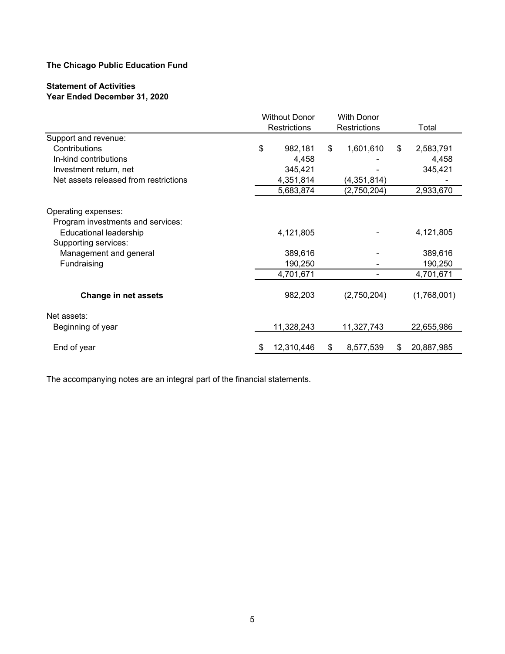# **Statement of Activities Year Ended December 31, 2020**

|                                                          | <b>Without Donor</b><br><b>Restrictions</b> |            | <b>With Donor</b><br>Restrictions |               |    | Total       |
|----------------------------------------------------------|---------------------------------------------|------------|-----------------------------------|---------------|----|-------------|
| Support and revenue:                                     |                                             |            |                                   |               |    |             |
| Contributions                                            | \$                                          | 982,181    | \$                                | 1,601,610     | \$ | 2,583,791   |
| In-kind contributions                                    |                                             | 4,458      |                                   |               |    | 4,458       |
| Investment return, net                                   |                                             | 345,421    |                                   |               |    | 345,421     |
| Net assets released from restrictions                    |                                             | 4,351,814  |                                   | (4, 351, 814) |    |             |
|                                                          |                                             | 5,683,874  |                                   | (2,750,204)   |    | 2,933,670   |
| Operating expenses:<br>Program investments and services: |                                             |            |                                   |               |    |             |
| <b>Educational leadership</b>                            |                                             | 4,121,805  |                                   |               |    | 4,121,805   |
| Supporting services:                                     |                                             |            |                                   |               |    |             |
| Management and general                                   |                                             | 389,616    |                                   |               |    | 389,616     |
| Fundraising                                              |                                             | 190,250    |                                   |               |    | 190,250     |
|                                                          |                                             | 4,701,671  |                                   |               |    | 4,701,671   |
| <b>Change in net assets</b>                              |                                             | 982,203    |                                   | (2,750,204)   |    | (1,768,001) |
| Net assets:                                              |                                             |            |                                   |               |    |             |
| Beginning of year                                        |                                             | 11,328,243 |                                   | 11,327,743    |    | 22,655,986  |
| End of year                                              | $\frac{1}{2}$                               | 12,310,446 | S.                                | 8,577,539     | S  | 20,887,985  |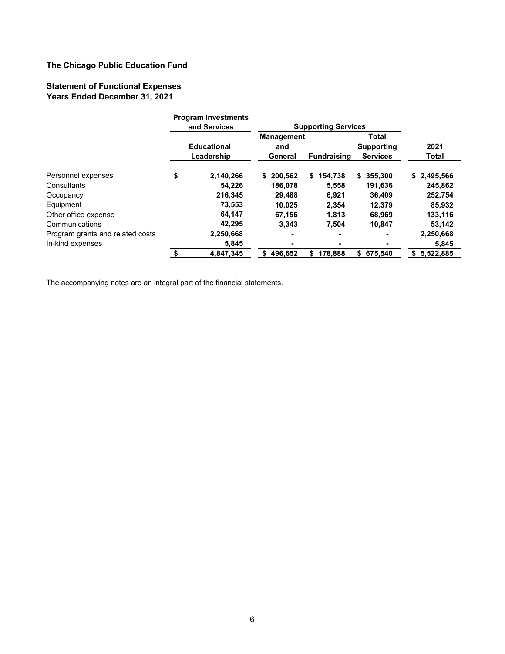#### **Statement of Functional Expenses Years Ended December 31, 2021**

|                                  | <b>Program Investments</b><br>and Services | <b>Supporting Services</b>          |                    |                                               |                |
|----------------------------------|--------------------------------------------|-------------------------------------|--------------------|-----------------------------------------------|----------------|
|                                  | <b>Educational</b><br>Leadership           | <b>Management</b><br>and<br>General | <b>Fundraising</b> | Total<br><b>Supporting</b><br><b>Services</b> | 2021<br>Total  |
| Personnel expenses               | \$<br>2,140,266                            | 200.562<br>S.                       | 154,738<br>S       | 355,300<br>S.                                 | \$2,495,566    |
| Consultants                      | 54,226                                     | 186,078                             | 5,558              | 191,636                                       | 245,862        |
| Occupancy                        | 216.345                                    | 29,488                              | 6.921              | 36.409                                        | 252.754        |
| Equipment                        | 73,553                                     | 10,025                              | 2,354              | 12,379                                        | 85,932         |
| Other office expense             | 64,147                                     | 67.156                              | 1.813              | 68.969                                        | 133,116        |
| Communications                   | 42,295                                     | 3.343                               | 7,504              | 10,847                                        | 53,142         |
| Program grants and related costs | 2,250,668                                  | ۰                                   |                    |                                               | 2,250,668      |
| In-kind expenses                 | 5,845                                      | ۰                                   |                    |                                               | 5,845          |
|                                  | 4.847.345                                  | 496.652<br>S                        | 178.888<br>S       | 675.540<br>S.                                 | 5,522,885<br>S |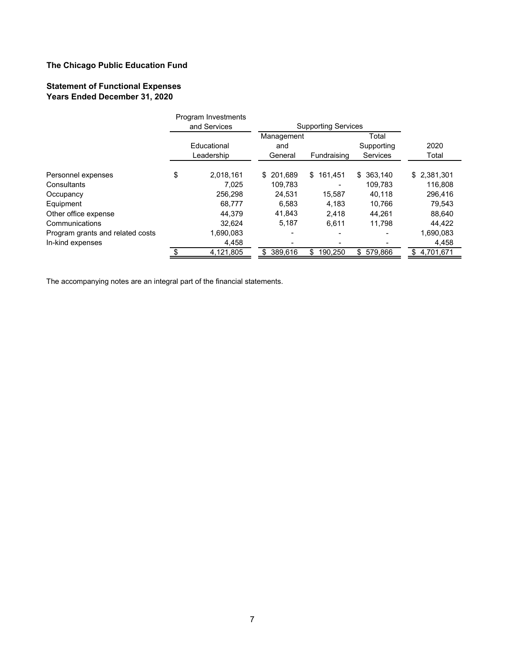## **Statement of Functional Expenses Years Ended December 31, 2020**

|                                  | Program Investments<br>and Services | <b>Supporting Services</b> |                |               |                  |
|----------------------------------|-------------------------------------|----------------------------|----------------|---------------|------------------|
|                                  |                                     | Management                 |                | Total         |                  |
|                                  | Educational                         | and                        |                | Supporting    | 2020             |
|                                  | Leadership                          | General                    | Fundraising    | Services      | Total            |
|                                  |                                     |                            |                |               |                  |
| Personnel expenses               | \$<br>2,018,161                     | 201.689<br>\$.             | \$161,451      | \$363,140     | \$2,381,301      |
| Consultants                      | 7.025                               | 109,783                    |                | 109,783       | 116,808          |
| Occupancy                        | 256.298                             | 24.531                     | 15.587         | 40.118        | 296,416          |
| Equipment                        | 68.777                              | 6,583                      | 4.183          | 10,766        | 79,543           |
| Other office expense             | 44.379                              | 41,843                     | 2.418          | 44.261        | 88.640           |
| Communications                   | 32.624                              | 5,187                      | 6.611          | 11,798        | 44.422           |
| Program grants and related costs | 1.690.083                           |                            |                |               | 1,690,083        |
| In-kind expenses                 | 4,458                               |                            |                |               | 4,458            |
|                                  | 4,121,805                           | 389,616<br>\$              | 190.250<br>\$. | 579.866<br>\$ | 4,701,671<br>\$. |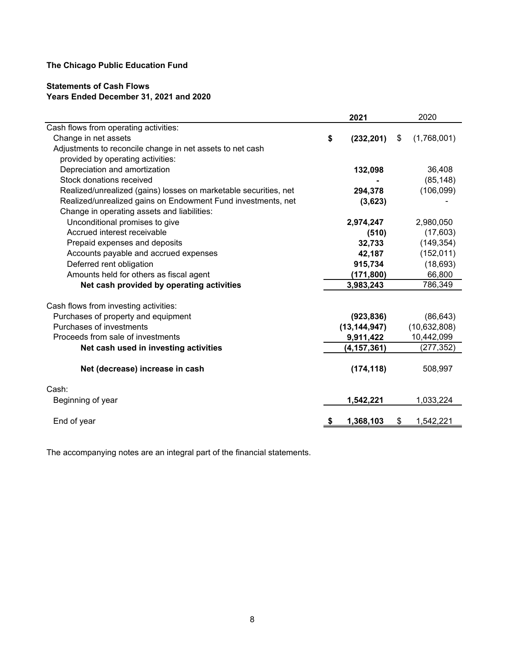# **Statements of Cash Flows Years Ended December 31, 2021 and 2020**

|                                                                  |    | 2021           | 2020              |
|------------------------------------------------------------------|----|----------------|-------------------|
| Cash flows from operating activities:                            |    |                |                   |
| Change in net assets                                             | \$ | (232, 201)     | \$<br>(1,768,001) |
| Adjustments to reconcile change in net assets to net cash        |    |                |                   |
| provided by operating activities:                                |    |                |                   |
| Depreciation and amortization                                    |    | 132,098        | 36,408            |
| Stock donations received                                         |    |                | (85, 148)         |
| Realized/unrealized (gains) losses on marketable securities, net |    | 294,378        | (106, 099)        |
| Realized/unrealized gains on Endowment Fund investments, net     |    | (3,623)        |                   |
| Change in operating assets and liabilities:                      |    |                |                   |
| Unconditional promises to give                                   |    | 2,974,247      | 2,980,050         |
| Accrued interest receivable                                      |    | (510)          | (17,603)          |
| Prepaid expenses and deposits                                    |    | 32,733         | (149, 354)        |
| Accounts payable and accrued expenses                            |    | 42,187         | (152, 011)        |
| Deferred rent obligation                                         |    | 915,734        | (18, 693)         |
| Amounts held for others as fiscal agent                          |    | (171, 800)     | 66,800            |
| Net cash provided by operating activities                        |    | 3,983,243      | 786,349           |
| Cash flows from investing activities:                            |    |                |                   |
| Purchases of property and equipment                              |    | (923, 836)     | (86, 643)         |
| Purchases of investments                                         |    | (13, 144, 947) | (10, 632, 808)    |
| Proceeds from sale of investments                                |    | 9,911,422      | 10,442,099        |
| Net cash used in investing activities                            |    | (4, 157, 361)  | (277,352)         |
|                                                                  |    |                |                   |
| Net (decrease) increase in cash                                  |    | (174, 118)     | 508,997           |
| Cash:                                                            |    |                |                   |
| Beginning of year                                                |    | 1,542,221      | 1,033,224         |
| End of year                                                      | -S | 1,368,103      | \$<br>1,542,221   |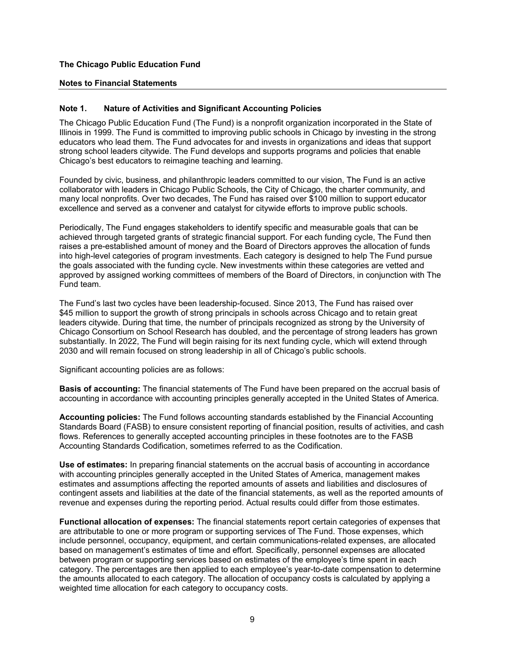#### **Notes to Financial Statements**

#### **Note 1. Nature of Activities and Significant Accounting Policies**

The Chicago Public Education Fund (The Fund) is a nonprofit organization incorporated in the State of Illinois in 1999. The Fund is committed to improving public schools in Chicago by investing in the strong educators who lead them. The Fund advocates for and invests in organizations and ideas that support strong school leaders citywide. The Fund develops and supports programs and policies that enable Chicago's best educators to reimagine teaching and learning.

Founded by civic, business, and philanthropic leaders committed to our vision, The Fund is an active collaborator with leaders in Chicago Public Schools, the City of Chicago, the charter community, and many local nonprofits. Over two decades, The Fund has raised over \$100 million to support educator excellence and served as a convener and catalyst for citywide efforts to improve public schools.

Periodically, The Fund engages stakeholders to identify specific and measurable goals that can be achieved through targeted grants of strategic financial support. For each funding cycle, The Fund then raises a pre-established amount of money and the Board of Directors approves the allocation of funds into high-level categories of program investments. Each category is designed to help The Fund pursue the goals associated with the funding cycle. New investments within these categories are vetted and approved by assigned working committees of members of the Board of Directors, in conjunction with The Fund team.

The Fund's last two cycles have been leadership-focused. Since 2013, The Fund has raised over \$45 million to support the growth of strong principals in schools across Chicago and to retain great leaders citywide. During that time, the number of principals recognized as strong by the University of Chicago Consortium on School Research has doubled, and the percentage of strong leaders has grown substantially. In 2022, The Fund will begin raising for its next funding cycle, which will extend through 2030 and will remain focused on strong leadership in all of Chicago's public schools.

Significant accounting policies are as follows:

**Basis of accounting:** The financial statements of The Fund have been prepared on the accrual basis of accounting in accordance with accounting principles generally accepted in the United States of America.

**Accounting policies:** The Fund follows accounting standards established by the Financial Accounting Standards Board (FASB) to ensure consistent reporting of financial position, results of activities, and cash flows. References to generally accepted accounting principles in these footnotes are to the FASB Accounting Standards Codification, sometimes referred to as the Codification.

**Use of estimates:** In preparing financial statements on the accrual basis of accounting in accordance with accounting principles generally accepted in the United States of America, management makes estimates and assumptions affecting the reported amounts of assets and liabilities and disclosures of contingent assets and liabilities at the date of the financial statements, as well as the reported amounts of revenue and expenses during the reporting period. Actual results could differ from those estimates.

**Functional allocation of expenses:** The financial statements report certain categories of expenses that are attributable to one or more program or supporting services of The Fund. Those expenses, which include personnel, occupancy, equipment, and certain communications-related expenses, are allocated based on management's estimates of time and effort. Specifically, personnel expenses are allocated between program or supporting services based on estimates of the employee's time spent in each category. The percentages are then applied to each employee's year-to-date compensation to determine the amounts allocated to each category. The allocation of occupancy costs is calculated by applying a weighted time allocation for each category to occupancy costs.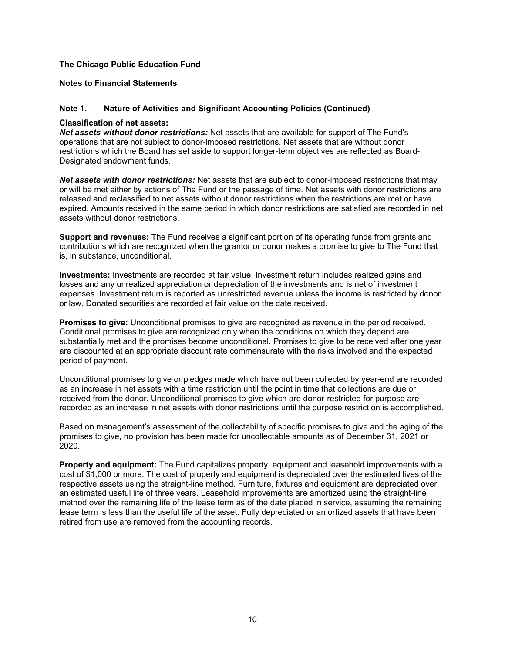#### **Notes to Financial Statements**

## **Note 1. Nature of Activities and Significant Accounting Policies (Continued)**

#### **Classification of net assets:**

*Net assets without donor restrictions:* Net assets that are available for support of The Fund's operations that are not subject to donor-imposed restrictions. Net assets that are without donor restrictions which the Board has set aside to support longer-term objectives are reflected as Board-Designated endowment funds.

*Net assets with donor restrictions:* Net assets that are subject to donor-imposed restrictions that may or will be met either by actions of The Fund or the passage of time. Net assets with donor restrictions are released and reclassified to net assets without donor restrictions when the restrictions are met or have expired. Amounts received in the same period in which donor restrictions are satisfied are recorded in net assets without donor restrictions.

**Support and revenues:** The Fund receives a significant portion of its operating funds from grants and contributions which are recognized when the grantor or donor makes a promise to give to The Fund that is, in substance, unconditional.

**Investments:** Investments are recorded at fair value. Investment return includes realized gains and losses and any unrealized appreciation or depreciation of the investments and is net of investment expenses. Investment return is reported as unrestricted revenue unless the income is restricted by donor or law. Donated securities are recorded at fair value on the date received.

**Promises to give:** Unconditional promises to give are recognized as revenue in the period received. Conditional promises to give are recognized only when the conditions on which they depend are substantially met and the promises become unconditional. Promises to give to be received after one year are discounted at an appropriate discount rate commensurate with the risks involved and the expected period of payment.

Unconditional promises to give or pledges made which have not been collected by year-end are recorded as an increase in net assets with a time restriction until the point in time that collections are due or received from the donor. Unconditional promises to give which are donor-restricted for purpose are recorded as an increase in net assets with donor restrictions until the purpose restriction is accomplished.

Based on management's assessment of the collectability of specific promises to give and the aging of the promises to give, no provision has been made for uncollectable amounts as of December 31, 2021 or 2020.

**Property and equipment:** The Fund capitalizes property, equipment and leasehold improvements with a cost of \$1,000 or more. The cost of property and equipment is depreciated over the estimated lives of the respective assets using the straight-line method. Furniture, fixtures and equipment are depreciated over an estimated useful life of three years. Leasehold improvements are amortized using the straight-line method over the remaining life of the lease term as of the date placed in service, assuming the remaining lease term is less than the useful life of the asset. Fully depreciated or amortized assets that have been retired from use are removed from the accounting records.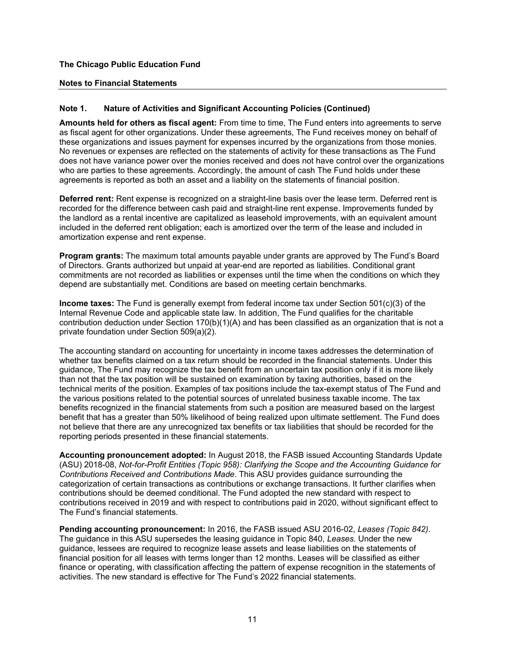#### **Notes to Financial Statements**

#### **Note 1. Nature of Activities and Significant Accounting Policies (Continued)**

**Amounts held for others as fiscal agent:** From time to time, The Fund enters into agreements to serve as fiscal agent for other organizations. Under these agreements, The Fund receives money on behalf of these organizations and issues payment for expenses incurred by the organizations from those monies. No revenues or expenses are reflected on the statements of activity for these transactions as The Fund does not have variance power over the monies received and does not have control over the organizations who are parties to these agreements. Accordingly, the amount of cash The Fund holds under these agreements is reported as both an asset and a liability on the statements of financial position.

**Deferred rent:** Rent expense is recognized on a straight-line basis over the lease term. Deferred rent is recorded for the difference between cash paid and straight-line rent expense. Improvements funded by the landlord as a rental incentive are capitalized as leasehold improvements, with an equivalent amount included in the deferred rent obligation; each is amortized over the term of the lease and included in amortization expense and rent expense.

**Program grants:** The maximum total amounts payable under grants are approved by The Fund's Board of Directors. Grants authorized but unpaid at year-end are reported as liabilities. Conditional grant commitments are not recorded as liabilities or expenses until the time when the conditions on which they depend are substantially met. Conditions are based on meeting certain benchmarks.

**Income taxes:** The Fund is generally exempt from federal income tax under Section 501(c)(3) of the Internal Revenue Code and applicable state law. In addition, The Fund qualifies for the charitable contribution deduction under Section 170(b)(1)(A) and has been classified as an organization that is not a private foundation under Section 509(a)(2).

The accounting standard on accounting for uncertainty in income taxes addresses the determination of whether tax benefits claimed on a tax return should be recorded in the financial statements. Under this guidance, The Fund may recognize the tax benefit from an uncertain tax position only if it is more likely than not that the tax position will be sustained on examination by taxing authorities, based on the technical merits of the position. Examples of tax positions include the tax-exempt status of The Fund and the various positions related to the potential sources of unrelated business taxable income. The tax benefits recognized in the financial statements from such a position are measured based on the largest benefit that has a greater than 50% likelihood of being realized upon ultimate settlement. The Fund does not believe that there are any unrecognized tax benefits or tax liabilities that should be recorded for the reporting periods presented in these financial statements.

**Accounting pronouncement adopted:** In August 2018, the FASB issued Accounting Standards Update (ASU) 2018-08, *Not-for-Profit Entities (Topic 958): Clarifying the Scope and the Accounting Guidance for Contributions Received and Contributions Made*. This ASU provides guidance surrounding the categorization of certain transactions as contributions or exchange transactions. It further clarifies when contributions should be deemed conditional. The Fund adopted the new standard with respect to contributions received in 2019 and with respect to contributions paid in 2020, without significant effect to The Fund's financial statements.

**Pending accounting pronouncement:** In 2016, the FASB issued ASU 2016-02, *Leases (Topic 842)*. The guidance in this ASU supersedes the leasing guidance in Topic 840, *Leases.* Under the new guidance, lessees are required to recognize lease assets and lease liabilities on the statements of financial position for all leases with terms longer than 12 months. Leases will be classified as either finance or operating, with classification affecting the pattern of expense recognition in the statements of activities. The new standard is effective for The Fund's 2022 financial statements.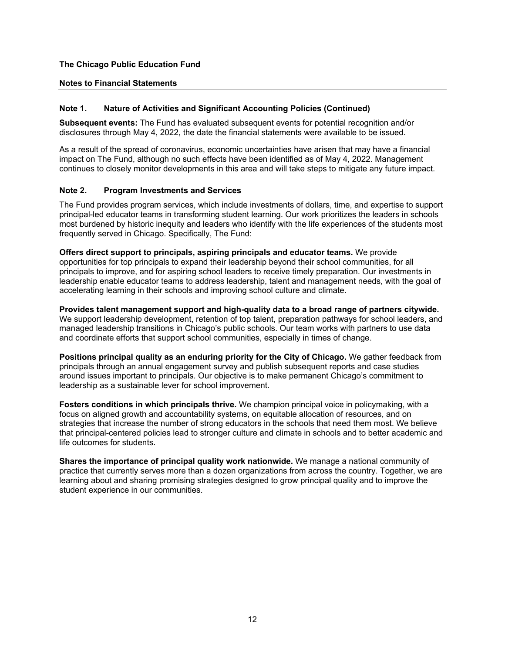#### **Notes to Financial Statements**

#### **Note 1. Nature of Activities and Significant Accounting Policies (Continued)**

**Subsequent events:** The Fund has evaluated subsequent events for potential recognition and/or disclosures through May 4, 2022, the date the financial statements were available to be issued.

As a result of the spread of coronavirus, economic uncertainties have arisen that may have a financial impact on The Fund, although no such effects have been identified as of May 4, 2022. Management continues to closely monitor developments in this area and will take steps to mitigate any future impact.

## **Note 2. Program Investments and Services**

The Fund provides program services, which include investments of dollars, time, and expertise to support principal-led educator teams in transforming student learning. Our work prioritizes the leaders in schools most burdened by historic inequity and leaders who identify with the life experiences of the students most frequently served in Chicago. Specifically, The Fund:

**Offers direct support to principals, aspiring principals and educator teams.** We provide opportunities for top principals to expand their leadership beyond their school communities, for all principals to improve, and for aspiring school leaders to receive timely preparation. Our investments in leadership enable educator teams to address leadership, talent and management needs, with the goal of accelerating learning in their schools and improving school culture and climate.

**Provides talent management support and high-quality data to a broad range of partners citywide.**  We support leadership development, retention of top talent, preparation pathways for school leaders, and managed leadership transitions in Chicago's public schools. Our team works with partners to use data and coordinate efforts that support school communities, especially in times of change.

**Positions principal quality as an enduring priority for the City of Chicago.** We gather feedback from principals through an annual engagement survey and publish subsequent reports and case studies around issues important to principals. Our objective is to make permanent Chicago's commitment to leadership as a sustainable lever for school improvement.

**Fosters conditions in which principals thrive.** We champion principal voice in policymaking, with a focus on aligned growth and accountability systems, on equitable allocation of resources, and on strategies that increase the number of strong educators in the schools that need them most. We believe that principal-centered policies lead to stronger culture and climate in schools and to better academic and life outcomes for students.

**Shares the importance of principal quality work nationwide.** We manage a national community of practice that currently serves more than a dozen organizations from across the country. Together, we are learning about and sharing promising strategies designed to grow principal quality and to improve the student experience in our communities.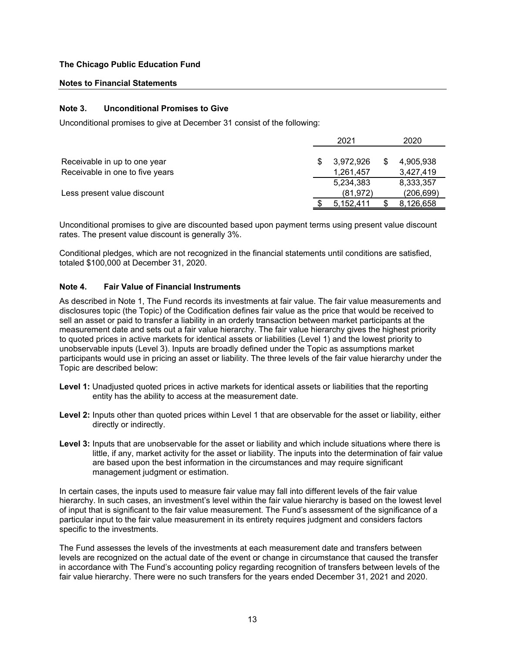#### **Notes to Financial Statements**

#### **Note 3. Unconditional Promises to Give**

Unconditional promises to give at December 31 consist of the following:

|                                 |   | 2021      |  | 2020      |
|---------------------------------|---|-----------|--|-----------|
|                                 |   |           |  |           |
| Receivable in up to one year    | S | 3.972.926 |  | 4,905,938 |
| Receivable in one to five years |   | 1,261,457 |  | 3,427,419 |
|                                 |   | 5,234,383 |  | 8,333,357 |
| Less present value discount     |   | (81, 972) |  | (206,699) |
|                                 |   | 5.152.411 |  | 8,126,658 |

Unconditional promises to give are discounted based upon payment terms using present value discount rates. The present value discount is generally 3%.

Conditional pledges, which are not recognized in the financial statements until conditions are satisfied, totaled \$100,000 at December 31, 2020.

#### **Note 4. Fair Value of Financial Instruments**

As described in Note 1, The Fund records its investments at fair value. The fair value measurements and disclosures topic (the Topic) of the Codification defines fair value as the price that would be received to sell an asset or paid to transfer a liability in an orderly transaction between market participants at the measurement date and sets out a fair value hierarchy. The fair value hierarchy gives the highest priority to quoted prices in active markets for identical assets or liabilities (Level 1) and the lowest priority to unobservable inputs (Level 3). Inputs are broadly defined under the Topic as assumptions market participants would use in pricing an asset or liability. The three levels of the fair value hierarchy under the Topic are described below:

- Level 1: Unadjusted quoted prices in active markets for identical assets or liabilities that the reporting entity has the ability to access at the measurement date.
- **Level 2:** Inputs other than quoted prices within Level 1 that are observable for the asset or liability, either directly or indirectly.
- **Level 3:** Inputs that are unobservable for the asset or liability and which include situations where there is little, if any, market activity for the asset or liability. The inputs into the determination of fair value are based upon the best information in the circumstances and may require significant management judgment or estimation.

In certain cases, the inputs used to measure fair value may fall into different levels of the fair value hierarchy. In such cases, an investment's level within the fair value hierarchy is based on the lowest level of input that is significant to the fair value measurement. The Fund's assessment of the significance of a particular input to the fair value measurement in its entirety requires judgment and considers factors specific to the investments.

The Fund assesses the levels of the investments at each measurement date and transfers between levels are recognized on the actual date of the event or change in circumstance that caused the transfer in accordance with The Fund's accounting policy regarding recognition of transfers between levels of the fair value hierarchy. There were no such transfers for the years ended December 31, 2021 and 2020.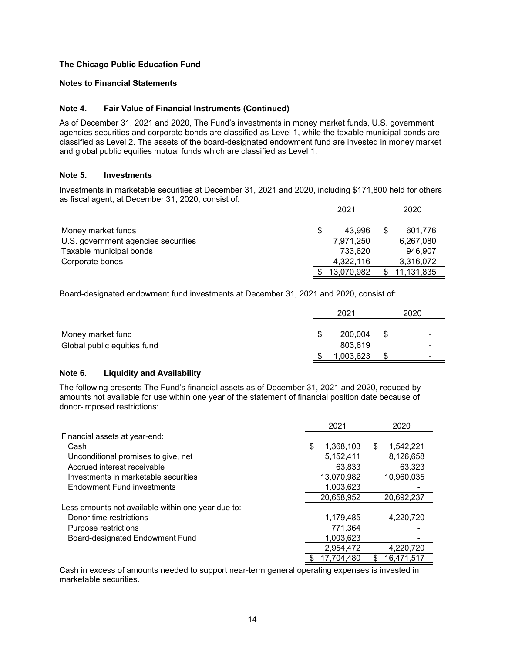#### **Notes to Financial Statements**

#### **Note 4. Fair Value of Financial Instruments (Continued)**

As of December 31, 2021 and 2020, The Fund's investments in money market funds, U.S. government agencies securities and corporate bonds are classified as Level 1, while the taxable municipal bonds are classified as Level 2. The assets of the board-designated endowment fund are invested in money market and global public equities mutual funds which are classified as Level 1.

## **Note 5. Investments**

Investments in marketable securities at December 31, 2021 and 2020, including \$171,800 held for others as fiscal agent, at December 31, 2020, consist of:

|                                     | 2021 |            | 2020       |
|-------------------------------------|------|------------|------------|
|                                     |      |            |            |
| Money market funds                  | \$   | 43.996     | 601,776    |
| U.S. government agencies securities |      | 7.971.250  | 6,267,080  |
| Taxable municipal bonds             |      | 733.620    | 946.907    |
| Corporate bonds                     |      | 4.322.116  | 3,316,072  |
|                                     |      | 13,070,982 | 11,131,835 |

Board-designated endowment fund investments at December 31, 2021 and 2020, consist of:

|                             | 2021          |   | 2020                     |
|-----------------------------|---------------|---|--------------------------|
|                             |               |   |                          |
| Money market fund           | \$<br>200,004 | S | $\overline{\phantom{0}}$ |
| Global public equities fund | 803.619       |   | $\overline{\phantom{0}}$ |
|                             | 1,003,623     |   | $\blacksquare$           |

# **Note 6. Liquidity and Availability**

The following presents The Fund's financial assets as of December 31, 2021 and 2020, reduced by amounts not available for use within one year of the statement of financial position date because of donor-imposed restrictions:

|                                                    | 2021            | 2020           |
|----------------------------------------------------|-----------------|----------------|
| Financial assets at year-end:                      |                 |                |
| Cash                                               | \$<br>1,368,103 | 1,542,221<br>S |
| Unconditional promises to give, net                | 5.152.411       | 8.126.658      |
| Accrued interest receivable                        | 63.833          | 63,323         |
| Investments in marketable securities               | 13,070,982      | 10,960,035     |
| <b>Endowment Fund investments</b>                  | 1,003,623       |                |
|                                                    | 20,658,952      | 20,692,237     |
| Less amounts not available within one year due to: |                 |                |
| Donor time restrictions                            | 1,179,485       | 4,220,720      |
| Purpose restrictions                               | 771,364         |                |
| Board-designated Endowment Fund                    | 1,003,623       |                |
|                                                    | 2.954.472       | 4,220,720      |
|                                                    | 17,704,480      | 16,471,517     |

Cash in excess of amounts needed to support near-term general operating expenses is invested in marketable securities.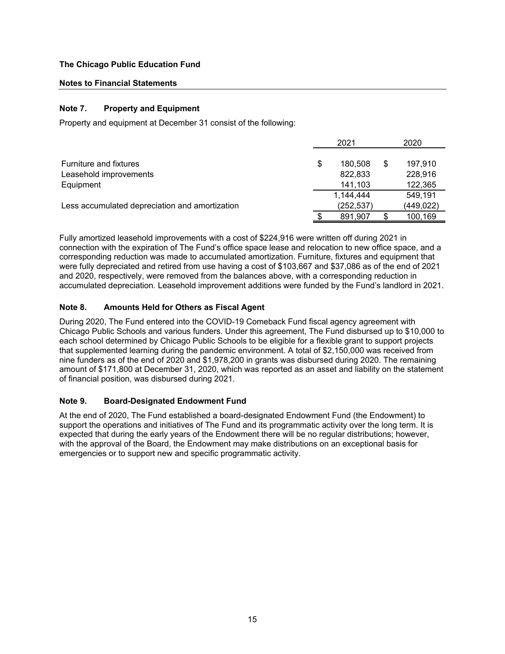# **Notes to Financial Statements**

# **Note 7. Property and Equipment**

Property and equipment at December 31 consist of the following:

|                                                | 2021          |  | 2020      |
|------------------------------------------------|---------------|--|-----------|
|                                                |               |  |           |
| <b>Furniture and fixtures</b>                  | \$<br>180.508 |  | 197,910   |
| Leasehold improvements                         | 822,833       |  | 228,916   |
| Equipment                                      | 141,103       |  | 122,365   |
|                                                | 1,144,444     |  | 549,191   |
| Less accumulated depreciation and amortization | (252, 537)    |  | (449,022) |
|                                                | \$<br>891.907 |  | 100,169   |

Fully amortized leasehold improvements with a cost of \$224,916 were written off during 2021 in connection with the expiration of The Fund's office space lease and relocation to new office space, and a corresponding reduction was made to accumulated amortization. Furniture, fixtures and equipment that were fully depreciated and retired from use having a cost of \$103,667 and \$37,086 as of the end of 2021 and 2020, respectively, were removed from the balances above, with a corresponding reduction in accumulated depreciation. Leasehold improvement additions were funded by the Fund's landlord in 2021.

## **Note 8. Amounts Held for Others as Fiscal Agent**

During 2020, The Fund entered into the COVID-19 Comeback Fund fiscal agency agreement with Chicago Public Schools and various funders. Under this agreement, The Fund disbursed up to \$10,000 to each school determined by Chicago Public Schools to be eligible for a flexible grant to support projects that supplemented learning during the pandemic environment. A total of \$2,150,000 was received from nine funders as of the end of 2020 and \$1,978,200 in grants was disbursed during 2020. The remaining amount of \$171,800 at December 31, 2020, which was reported as an asset and liability on the statement of financial position, was disbursed during 2021.

# **Note 9. Board-Designated Endowment Fund**

At the end of 2020, The Fund established a board-designated Endowment Fund (the Endowment) to support the operations and initiatives of The Fund and its programmatic activity over the long term. It is expected that during the early years of the Endowment there will be no regular distributions; however, with the approval of the Board, the Endowment may make distributions on an exceptional basis for emergencies or to support new and specific programmatic activity.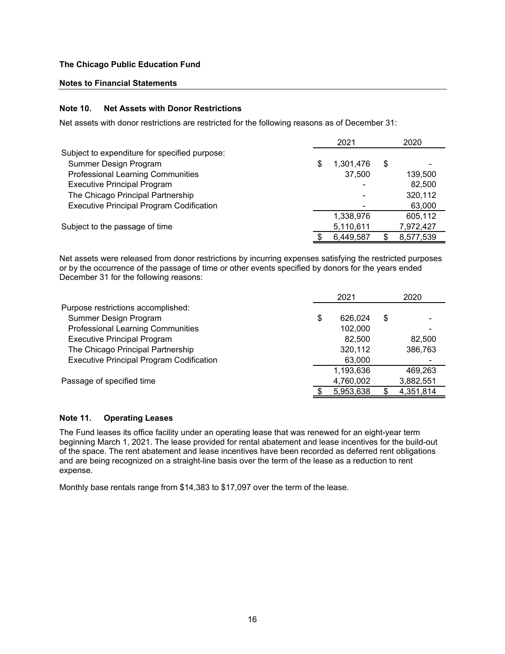#### **Notes to Financial Statements**

#### **Note 10. Net Assets with Donor Restrictions**

Net assets with donor restrictions are restricted for the following reasons as of December 31:

|                                                 | 2021            | 2020      |
|-------------------------------------------------|-----------------|-----------|
| Subject to expenditure for specified purpose:   |                 |           |
| Summer Design Program                           | \$<br>1,301,476 | \$        |
| <b>Professional Learning Communities</b>        | 37,500          | 139,500   |
| <b>Executive Principal Program</b>              |                 | 82,500    |
| The Chicago Principal Partnership               |                 | 320,112   |
| <b>Executive Principal Program Codification</b> |                 | 63,000    |
|                                                 | 1,338,976       | 605,112   |
| Subject to the passage of time                  | 5,110,611       | 7,972,427 |
|                                                 | 6,449,587       | 8,577,539 |

Net assets were released from donor restrictions by incurring expenses satisfying the restricted purposes or by the occurrence of the passage of time or other events specified by donors for the years ended December 31 for the following reasons:

|                                                 | 2021          |   | 2020      |
|-------------------------------------------------|---------------|---|-----------|
| Purpose restrictions accomplished:              |               |   |           |
| Summer Design Program                           | \$<br>626,024 | S |           |
| <b>Professional Learning Communities</b>        | 102.000       |   |           |
| <b>Executive Principal Program</b>              | 82.500        |   | 82.500    |
| The Chicago Principal Partnership               | 320,112       |   | 386,763   |
| <b>Executive Principal Program Codification</b> | 63,000        |   |           |
|                                                 | 1,193,636     |   | 469.263   |
| Passage of specified time                       | 4,760,002     |   | 3,882,551 |
|                                                 | 5,953,638     |   | 4,351,814 |

# **Note 11. Operating Leases**

The Fund leases its office facility under an operating lease that was renewed for an eight-year term beginning March 1, 2021. The lease provided for rental abatement and lease incentives for the build-out of the space. The rent abatement and lease incentives have been recorded as deferred rent obligations and are being recognized on a straight-line basis over the term of the lease as a reduction to rent expense.

Monthly base rentals range from \$14,383 to \$17,097 over the term of the lease.